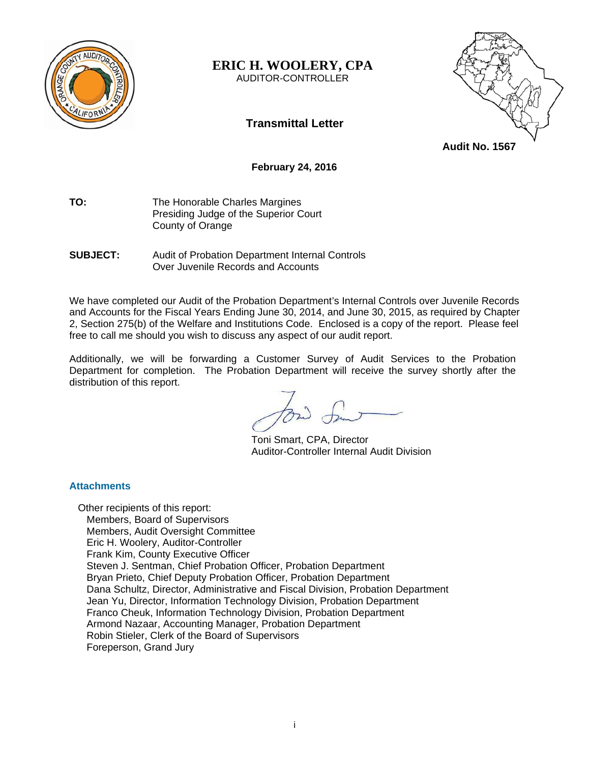

## **ERIC H. WOOLERY, CPA**  AUDITOR-CONTROLLER

# **Transmittal Letter**



**Audit No. 1567** 

## **February 24, 2016**

**TO:** The Honorable Charles Margines Presiding Judge of the Superior Court County of Orange

**SUBJECT:** Audit of Probation Department Internal Controls Over Juvenile Records and Accounts

We have completed our Audit of the Probation Department's Internal Controls over Juvenile Records and Accounts for the Fiscal Years Ending June 30, 2014, and June 30, 2015, as required by Chapter 2, Section 275(b) of the Welfare and Institutions Code. Enclosed is a copy of the report. Please feel free to call me should you wish to discuss any aspect of our audit report.

Additionally, we will be forwarding a Customer Survey of Audit Services to the Probation Department for completion. The Probation Department will receive the survey shortly after the distribution of this report.

 Toni Smart, CPA, Director Auditor-Controller Internal Audit Division

## **Attachments**

Other recipients of this report: Members, Board of Supervisors Members, Audit Oversight Committee Eric H. Woolery, Auditor-Controller Frank Kim, County Executive Officer Steven J. Sentman, Chief Probation Officer, Probation Department Bryan Prieto, Chief Deputy Probation Officer, Probation Department Dana Schultz, Director, Administrative and Fiscal Division, Probation Department Jean Yu, Director, Information Technology Division, Probation Department Franco Cheuk, Information Technology Division, Probation Department Armond Nazaar, Accounting Manager, Probation Department Robin Stieler, Clerk of the Board of Supervisors Foreperson, Grand Jury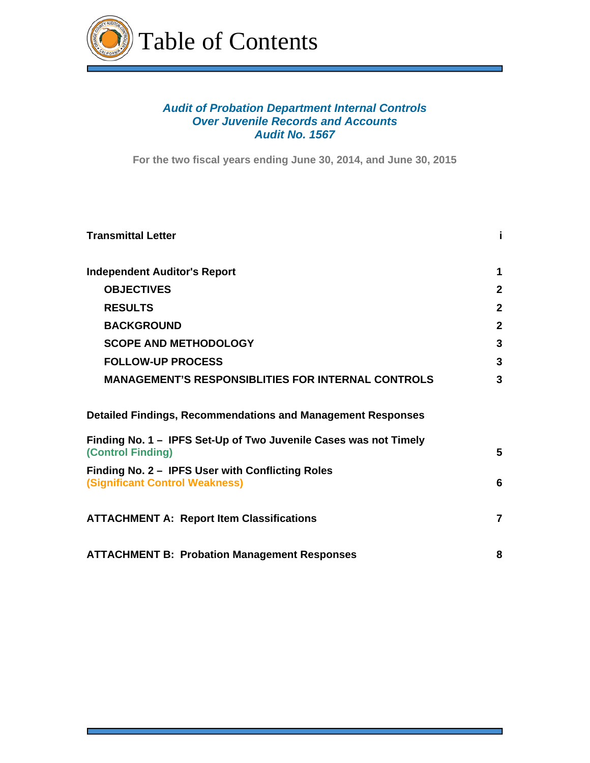

# *Audit of Probation Department Internal Controls Over Juvenile Records and Accounts Audit No. 1567*

**For the two fiscal years ending June 30, 2014, and June 30, 2015**

| <b>Transmittal Letter</b>                                                                    | j.             |
|----------------------------------------------------------------------------------------------|----------------|
| <b>Independent Auditor's Report</b>                                                          | 1              |
| <b>OBJECTIVES</b>                                                                            | $\mathbf{2}$   |
| <b>RESULTS</b>                                                                               | $\mathbf{2}$   |
| <b>BACKGROUND</b>                                                                            | $\mathbf{2}$   |
| <b>SCOPE AND METHODOLOGY</b>                                                                 | 3              |
| <b>FOLLOW-UP PROCESS</b>                                                                     | 3              |
| <b>MANAGEMENT'S RESPONSIBLITIES FOR INTERNAL CONTROLS</b>                                    | 3              |
| <b>Detailed Findings, Recommendations and Management Responses</b>                           |                |
| Finding No. 1 – IPFS Set-Up of Two Juvenile Cases was not Timely<br><b>(Control Finding)</b> | 5              |
| Finding No. 2 - IPFS User with Conflicting Roles<br><b>(Significant Control Weakness)</b>    | 6              |
| <b>ATTACHMENT A: Report Item Classifications</b>                                             | $\overline{7}$ |
| <b>ATTACHMENT B: Probation Management Responses</b>                                          | 8              |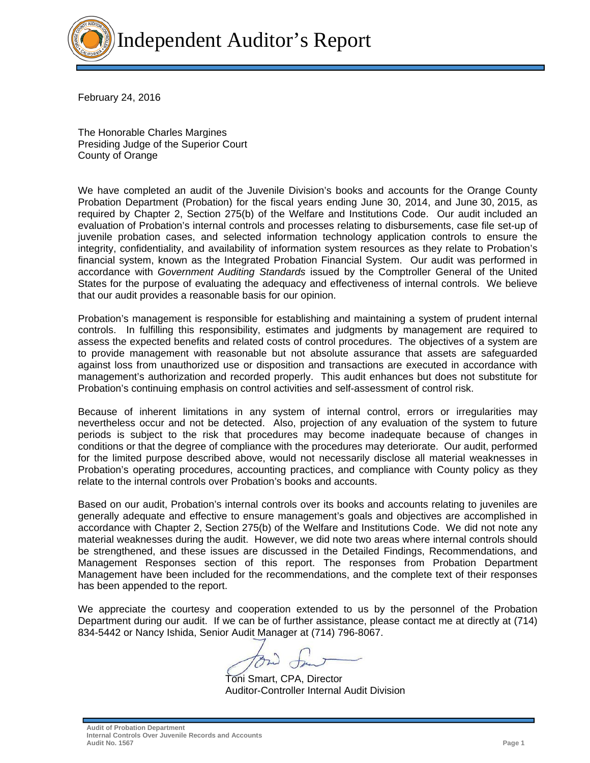

February 24, 2016

The Honorable Charles Margines Presiding Judge of the Superior Court County of Orange

We have completed an audit of the Juvenile Division's books and accounts for the Orange County Probation Department (Probation) for the fiscal years ending June 30, 2014, and June 30, 2015, as required by Chapter 2, Section 275(b) of the Welfare and Institutions Code. Our audit included an evaluation of Probation's internal controls and processes relating to disbursements, case file set-up of juvenile probation cases, and selected information technology application controls to ensure the integrity, confidentiality, and availability of information system resources as they relate to Probation's financial system, known as the Integrated Probation Financial System. Our audit was performed in accordance with *Government Auditing Standards* issued by the Comptroller General of the United States for the purpose of evaluating the adequacy and effectiveness of internal controls. We believe that our audit provides a reasonable basis for our opinion.

Probation's management is responsible for establishing and maintaining a system of prudent internal controls. In fulfilling this responsibility, estimates and judgments by management are required to assess the expected benefits and related costs of control procedures. The objectives of a system are to provide management with reasonable but not absolute assurance that assets are safeguarded against loss from unauthorized use or disposition and transactions are executed in accordance with management's authorization and recorded properly. This audit enhances but does not substitute for Probation's continuing emphasis on control activities and self-assessment of control risk.

Because of inherent limitations in any system of internal control, errors or irregularities may nevertheless occur and not be detected. Also, projection of any evaluation of the system to future periods is subject to the risk that procedures may become inadequate because of changes in conditions or that the degree of compliance with the procedures may deteriorate. Our audit, performed for the limited purpose described above, would not necessarily disclose all material weaknesses in Probation's operating procedures, accounting practices, and compliance with County policy as they relate to the internal controls over Probation's books and accounts.

Based on our audit, Probation's internal controls over its books and accounts relating to juveniles are generally adequate and effective to ensure management's goals and objectives are accomplished in accordance with Chapter 2, Section 275(b) of the Welfare and Institutions Code. We did not note any material weaknesses during the audit. However, we did note two areas where internal controls should be strengthened, and these issues are discussed in the Detailed Findings, Recommendations, and Management Responses section of this report. The responses from Probation Department Management have been included for the recommendations, and the complete text of their responses has been appended to the report.

We appreciate the courtesy and cooperation extended to us by the personnel of the Probation Department during our audit. If we can be of further assistance, please contact me at directly at (714) 834-5442 or Nancy Ishida, Senior Audit Manager at (714) 796-8067.

 Toni Smart, CPA, Director Auditor-Controller Internal Audit Division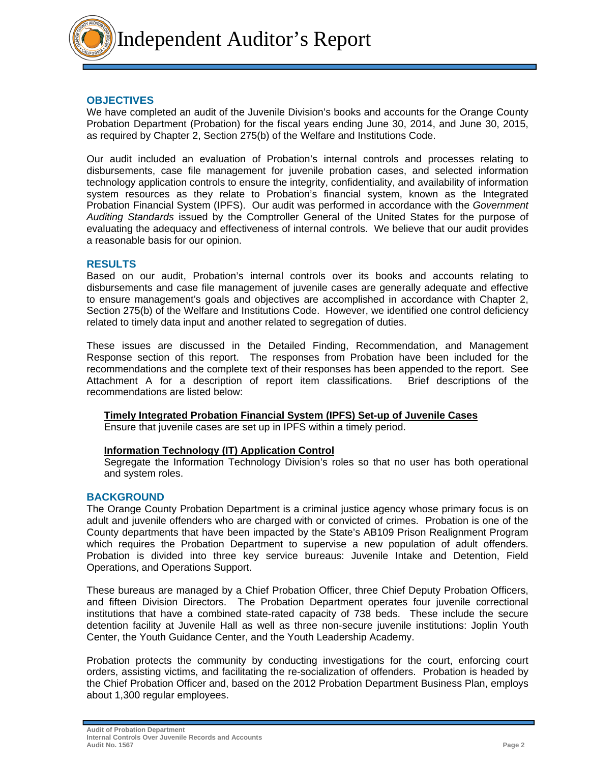

## **OBJECTIVES**

We have completed an audit of the Juvenile Division's books and accounts for the Orange County Probation Department (Probation) for the fiscal years ending June 30, 2014, and June 30, 2015, as required by Chapter 2, Section 275(b) of the Welfare and Institutions Code.

Our audit included an evaluation of Probation's internal controls and processes relating to disbursements, case file management for juvenile probation cases, and selected information technology application controls to ensure the integrity, confidentiality, and availability of information system resources as they relate to Probation's financial system, known as the Integrated Probation Financial System (IPFS). Our audit was performed in accordance with the *Government Auditing Standards* issued by the Comptroller General of the United States for the purpose of evaluating the adequacy and effectiveness of internal controls. We believe that our audit provides a reasonable basis for our opinion.

## **RESULTS**

Based on our audit, Probation's internal controls over its books and accounts relating to disbursements and case file management of juvenile cases are generally adequate and effective to ensure management's goals and objectives are accomplished in accordance with Chapter 2, Section 275(b) of the Welfare and Institutions Code. However, we identified one control deficiency related to timely data input and another related to segregation of duties.

These issues are discussed in the Detailed Finding, Recommendation, and Management Response section of this report. The responses from Probation have been included for the recommendations and the complete text of their responses has been appended to the report. See Attachment A for a description of report item classifications. Brief descriptions of the recommendations are listed below:

## **Timely Integrated Probation Financial System (IPFS) Set-up of Juvenile Cases**

Ensure that juvenile cases are set up in IPFS within a timely period.

## **Information Technology (IT) Application Control**

Segregate the Information Technology Division's roles so that no user has both operational and system roles.

## **BACKGROUND**

The Orange County Probation Department is a criminal justice agency whose primary focus is on adult and juvenile offenders who are charged with or convicted of crimes. Probation is one of the County departments that have been impacted by the State's AB109 Prison Realignment Program which requires the Probation Department to supervise a new population of adult offenders. Probation is divided into three key service bureaus: Juvenile Intake and Detention, Field Operations, and Operations Support.

These bureaus are managed by a Chief Probation Officer, three Chief Deputy Probation Officers, and fifteen Division Directors. The Probation Department operates four juvenile correctional institutions that have a combined state-rated capacity of 738 beds. These include the secure detention facility at Juvenile Hall as well as three non-secure juvenile institutions: Joplin Youth Center, the Youth Guidance Center, and the Youth Leadership Academy.

Probation protects the community by conducting investigations for the court, enforcing court orders, assisting victims, and facilitating the re-socialization of offenders. Probation is headed by the Chief Probation Officer and, based on the 2012 Probation Department Business Plan, employs about 1,300 regular employees.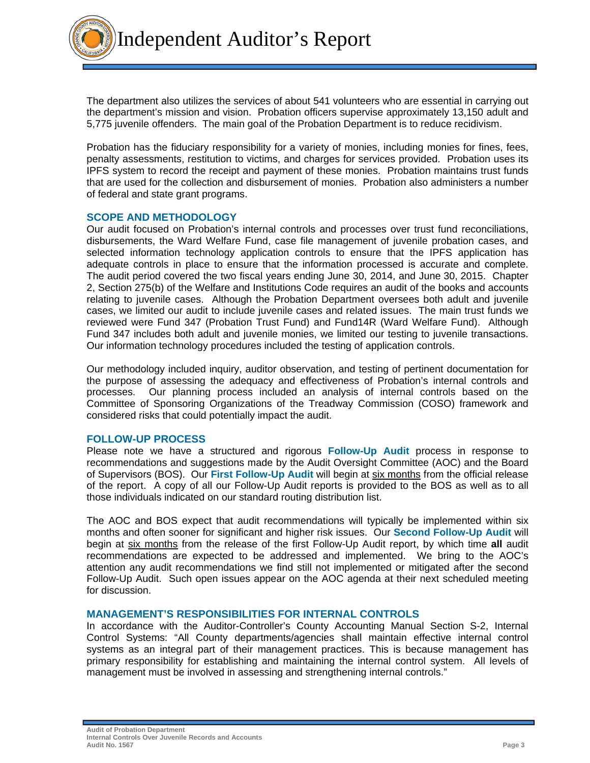Independent Auditor's Report

The department also utilizes the services of about 541 volunteers who are essential in carrying out the department's mission and vision.Probation officers supervise approximately 13,150 adult and 5,775 juvenile offenders. The main goal of the Probation Department is to reduce recidivism.

Probation has the fiduciary responsibility for a variety of monies, including monies for fines, fees, penalty assessments, restitution to victims, and charges for services provided. Probation uses its IPFS system to record the receipt and payment of these monies. Probation maintains trust funds that are used for the collection and disbursement of monies. Probation also administers a number of federal and state grant programs.

## **SCOPE AND METHODOLOGY**

Our audit focused on Probation's internal controls and processes over trust fund reconciliations, disbursements, the Ward Welfare Fund, case file management of juvenile probation cases, and selected information technology application controls to ensure that the IPFS application has adequate controls in place to ensure that the information processed is accurate and complete. The audit period covered the two fiscal years ending June 30, 2014, and June 30, 2015. Chapter 2, Section 275(b) of the Welfare and Institutions Code requires an audit of the books and accounts relating to juvenile cases. Although the Probation Department oversees both adult and juvenile cases, we limited our audit to include juvenile cases and related issues. The main trust funds we reviewed were Fund 347 (Probation Trust Fund) and Fund14R (Ward Welfare Fund). Although Fund 347 includes both adult and juvenile monies, we limited our testing to juvenile transactions. Our information technology procedures included the testing of application controls.

Our methodology included inquiry, auditor observation, and testing of pertinent documentation for the purpose of assessing the adequacy and effectiveness of Probation's internal controls and processes. Our planning process included an analysis of internal controls based on the Committee of Sponsoring Organizations of the Treadway Commission (COSO) framework and considered risks that could potentially impact the audit.

## **FOLLOW-UP PROCESS**

Please note we have a structured and rigorous **Follow-Up Audit** process in response to recommendations and suggestions made by the Audit Oversight Committee (AOC) and the Board of Supervisors (BOS). Our **First Follow-Up Audit** will begin at six months from the official release of the report. A copy of all our Follow-Up Audit reports is provided to the BOS as well as to all those individuals indicated on our standard routing distribution list.

The AOC and BOS expect that audit recommendations will typically be implemented within six months and often sooner for significant and higher risk issues. Our **Second Follow-Up Audit** will begin at six months from the release of the first Follow-Up Audit report, by which time **all** audit recommendations are expected to be addressed and implemented. We bring to the AOC's attention any audit recommendations we find still not implemented or mitigated after the second Follow-Up Audit. Such open issues appear on the AOC agenda at their next scheduled meeting for discussion.

## **MANAGEMENT'S RESPONSIBILITIES FOR INTERNAL CONTROLS**

In accordance with the Auditor-Controller's County Accounting Manual Section S-2, Internal Control Systems: "All County departments/agencies shall maintain effective internal control systems as an integral part of their management practices. This is because management has primary responsibility for establishing and maintaining the internal control system. All levels of management must be involved in assessing and strengthening internal controls."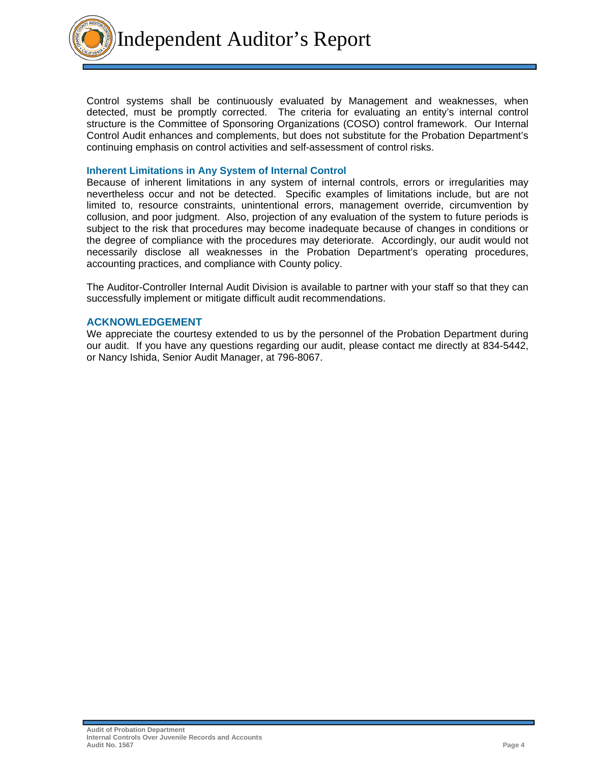Independent Auditor's Report

Control systems shall be continuously evaluated by Management and weaknesses, when detected, must be promptly corrected. The criteria for evaluating an entity's internal control structure is the Committee of Sponsoring Organizations (COSO) control framework. Our Internal Control Audit enhances and complements, but does not substitute for the Probation Department's continuing emphasis on control activities and self-assessment of control risks.

#### **Inherent Limitations in Any System of Internal Control**

Because of inherent limitations in any system of internal controls, errors or irregularities may nevertheless occur and not be detected. Specific examples of limitations include, but are not limited to, resource constraints, unintentional errors, management override, circumvention by collusion, and poor judgment. Also, projection of any evaluation of the system to future periods is subject to the risk that procedures may become inadequate because of changes in conditions or the degree of compliance with the procedures may deteriorate. Accordingly, our audit would not necessarily disclose all weaknesses in the Probation Department's operating procedures, accounting practices, and compliance with County policy.

The Auditor-Controller Internal Audit Division is available to partner with your staff so that they can successfully implement or mitigate difficult audit recommendations.

#### **ACKNOWLEDGEMENT**

We appreciate the courtesy extended to us by the personnel of the Probation Department during our audit. If you have any questions regarding our audit, please contact me directly at 834-5442, or Nancy Ishida, Senior Audit Manager, at 796-8067.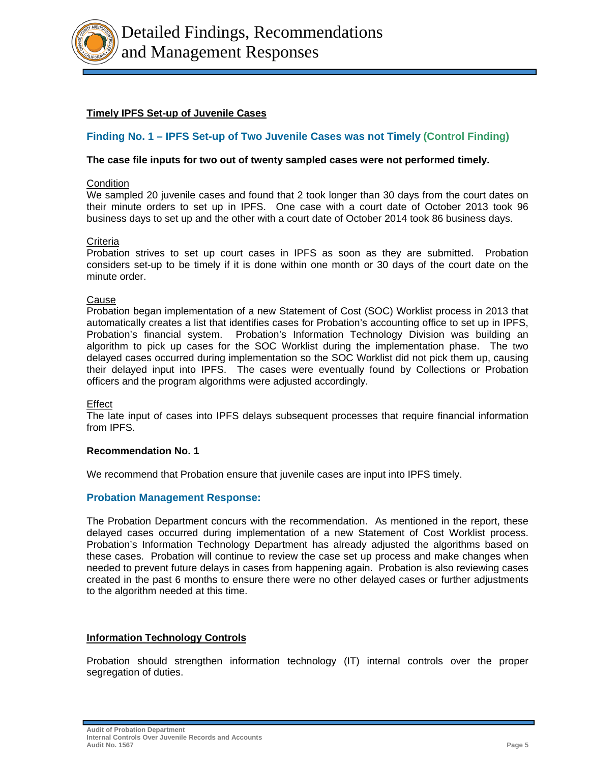

# **Timely IPFS Set-up of Juvenile Cases**

# **Finding No. 1 – IPFS Set-up of Two Juvenile Cases was not Timely (Control Finding)**

## **The case file inputs for two out of twenty sampled cases were not performed timely.**

## **Condition**

We sampled 20 juvenile cases and found that 2 took longer than 30 days from the court dates on their minute orders to set up in IPFS. One case with a court date of October 2013 took 96 business days to set up and the other with a court date of October 2014 took 86 business days.

#### **Criteria**

Probation strives to set up court cases in IPFS as soon as they are submitted. Probation considers set-up to be timely if it is done within one month or 30 days of the court date on the minute order.

#### Cause

Probation began implementation of a new Statement of Cost (SOC) Worklist process in 2013 that automatically creates a list that identifies cases for Probation's accounting office to set up in IPFS, Probation's financial system. Probation's Information Technology Division was building an algorithm to pick up cases for the SOC Worklist during the implementation phase. The two delayed cases occurred during implementation so the SOC Worklist did not pick them up, causing their delayed input into IPFS. The cases were eventually found by Collections or Probation officers and the program algorithms were adjusted accordingly.

#### Effect

The late input of cases into IPFS delays subsequent processes that require financial information from IPFS.

#### **Recommendation No. 1**

We recommend that Probation ensure that juvenile cases are input into IPFS timely.

## **Probation Management Response:**

The Probation Department concurs with the recommendation. As mentioned in the report, these delayed cases occurred during implementation of a new Statement of Cost Worklist process. Probation's Information Technology Department has already adjusted the algorithms based on these cases. Probation will continue to review the case set up process and make changes when needed to prevent future delays in cases from happening again. Probation is also reviewing cases created in the past 6 months to ensure there were no other delayed cases or further adjustments to the algorithm needed at this time.

#### **Information Technology Controls**

Probation should strengthen information technology (IT) internal controls over the proper segregation of duties.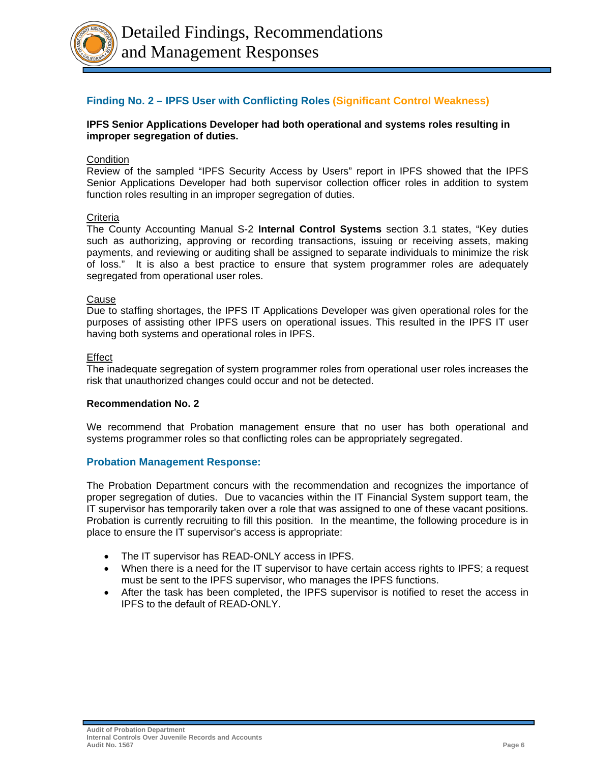

## **Finding No. 2 – IPFS User with Conflicting Roles (Significant Control Weakness)**

## **IPFS Senior Applications Developer had both operational and systems roles resulting in improper segregation of duties.**

## **Condition**

Review of the sampled "IPFS Security Access by Users" report in IPFS showed that the IPFS Senior Applications Developer had both supervisor collection officer roles in addition to system function roles resulting in an improper segregation of duties.

## **Criteria**

The County Accounting Manual S-2 **Internal Control Systems** section 3.1 states, "Key duties such as authorizing, approving or recording transactions, issuing or receiving assets, making payments, and reviewing or auditing shall be assigned to separate individuals to minimize the risk of loss." It is also a best practice to ensure that system programmer roles are adequately segregated from operational user roles.

#### Cause

Due to staffing shortages, the IPFS IT Applications Developer was given operational roles for the purposes of assisting other IPFS users on operational issues. This resulted in the IPFS IT user having both systems and operational roles in IPFS.

#### Effect

The inadequate segregation of system programmer roles from operational user roles increases the risk that unauthorized changes could occur and not be detected.

## **Recommendation No. 2**

We recommend that Probation management ensure that no user has both operational and systems programmer roles so that conflicting roles can be appropriately segregated.

## **Probation Management Response:**

The Probation Department concurs with the recommendation and recognizes the importance of proper segregation of duties. Due to vacancies within the IT Financial System support team, the IT supervisor has temporarily taken over a role that was assigned to one of these vacant positions. Probation is currently recruiting to fill this position. In the meantime, the following procedure is in place to ensure the IT supervisor's access is appropriate:

- The IT supervisor has READ-ONLY access in IPFS.
- When there is a need for the IT supervisor to have certain access rights to IPFS; a request must be sent to the IPFS supervisor, who manages the IPFS functions.
- After the task has been completed, the IPFS supervisor is notified to reset the access in IPFS to the default of READ-ONLY.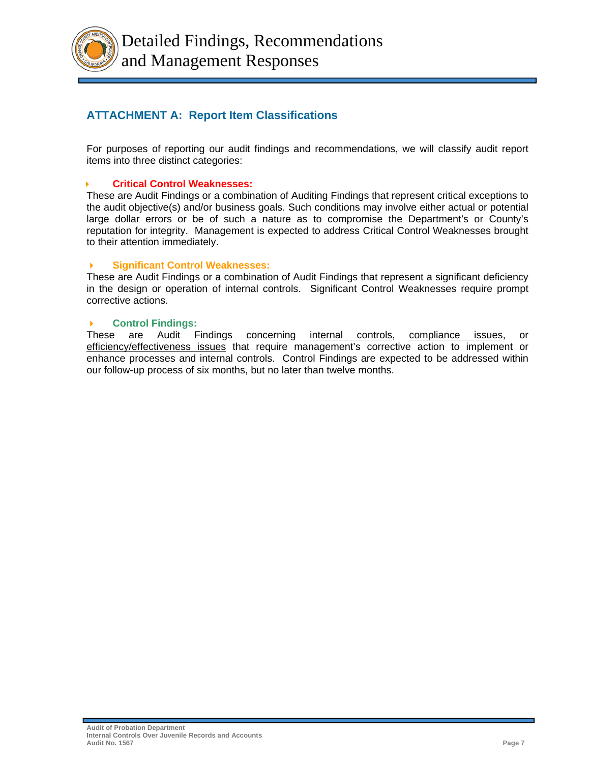Detailed Findings, Recommendations and Management Responses

# **ATTACHMENT A: Report Item Classifications**

For purposes of reporting our audit findings and recommendations, we will classify audit report items into three distinct categories:

## **Critical Control Weaknesses:**

These are Audit Findings or a combination of Auditing Findings that represent critical exceptions to the audit objective(s) and/or business goals. Such conditions may involve either actual or potential large dollar errors or be of such a nature as to compromise the Department's or County's reputation for integrity. Management is expected to address Critical Control Weaknesses brought to their attention immediately.

## **Significant Control Weaknesses:**

These are Audit Findings or a combination of Audit Findings that represent a significant deficiency in the design or operation of internal controls. Significant Control Weaknesses require prompt corrective actions.

## **Control Findings:**

These are Audit Findings concerning internal controls, compliance issues, or efficiency/effectiveness issues that require management's corrective action to implement or enhance processes and internal controls. Control Findings are expected to be addressed within our follow-up process of six months, but no later than twelve months.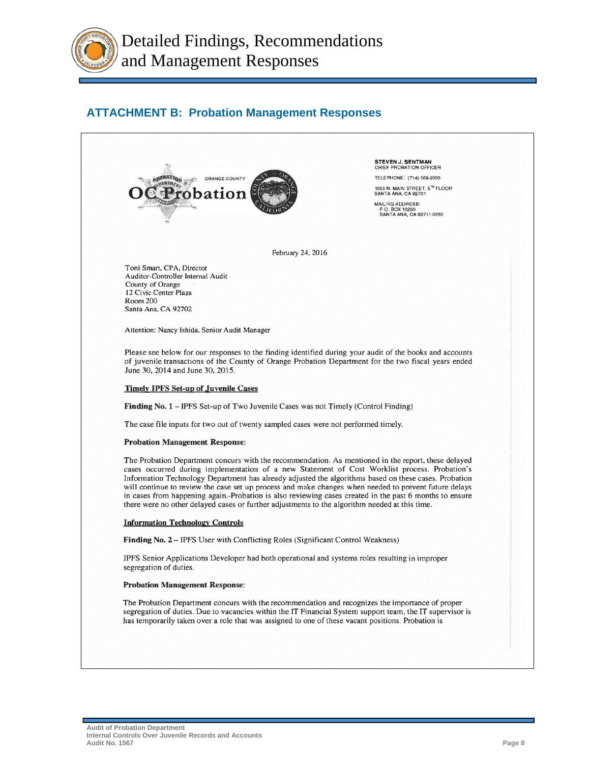

# **ATTACHMENT B: Probation Management Responses**

**STEVEN J. SENTMAN**<br>CHIEF PROBATION OFFICER ORANGE COUNTY TELEPHONE: (714) 569-2000 1055 N. MAIN STREET, 5<sup>TH</sup> FLOOR<br>SANTA ANA, CA 92701 robation MAILING ADDRESS: P.O. BOX 10260<br>SANTA ANA, CA 92711-0260 February 24, 2016 Toni Smart, CPA, Director Auditor-Controller Internal Audit County of Orange 12 Civic Center Plaza Room 200 Santa Ana, CA 92702 Attention: Nancy Ishida, Senior Audit Manager Please see below for our responses to the finding identified during your audit of the books and accounts of juvenile transactions of the County of Orange Probation Department for the two fiscal years ended June 30, 2014 and June 30, 2015. **Timely IPFS Set-up of Juvenile Cases** Finding No. 1 - IPFS Set-up of Two Juvenile Cases was not Timely (Control Finding) The case file inputs for two out of twenty sampled cases were not performed timely. **Probation Management Response:** The Probation Department concurs with the recommendation. As mentioned in the report, these delayed cases occurred during implementation of a new Statement of Cost Worklist process. Probation's Information Technology Department has already adjusted the algorithms based on these cases. Probation will continue to review the case set up process and make changes when needed to prevent future delays in cases from happening again.-Probation is also reviewing cases created in the past 6 months to ensure there were no other delayed cases or further adjustments to the algorithm needed at this time. **Information Technology Controls** Finding No. 2 - IPFS User with Conflicting Roles (Significant Control Weakness) IPFS Senior Applications Developer had both operational and systems roles resulting in improper segregation of duties. **Probation Management Response:** The Probation Department concurs with the recommendation and recognizes the importance of proper segregation of duties. Due to vacancies within the IT Financial System support team, the IT supervisor is has temporarily taken over a role that was assigned to one of these vacant positions. Probation is